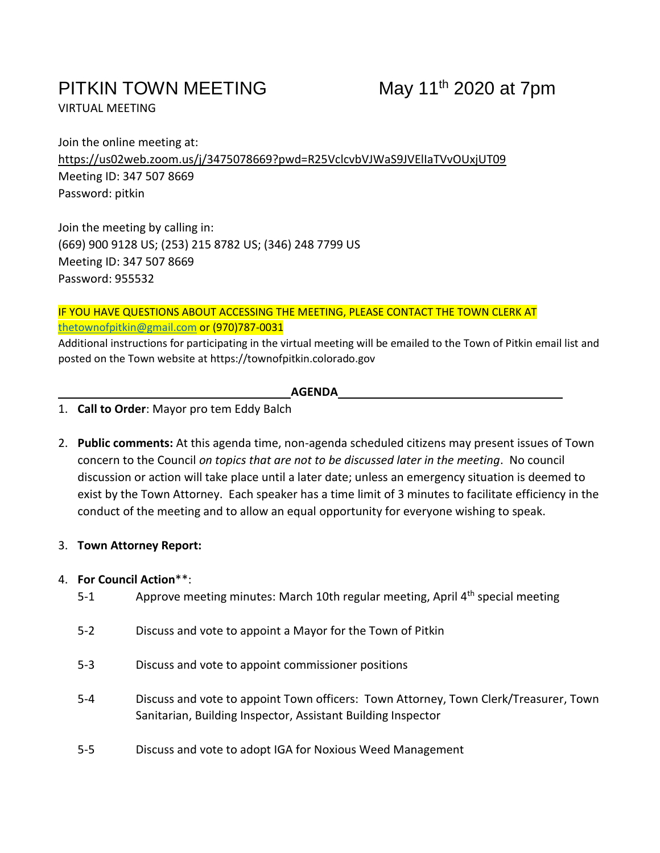# PITKIN TOWN MEETING

VIRTUAL MEETING

Join the online meeting at: https://us02web.zoom.us/j/3475078669?pwd=R25VclcvbVJWaS9JVElIaTVvOUxjUT09 Meeting ID: 347 507 8669 Password: pitkin

Join the meeting by calling in: (669) 900 9128 US; (253) 215 8782 US; (346) 248 7799 US Meeting ID: 347 507 8669 Password: 955532

IF YOU HAVE QUESTIONS ABOUT ACCESSING THE MEETING, PLEASE CONTACT THE TOWN CLERK AT [thetownofpitkin@gmail.com](mailto:thetownofpitkin@gmail.com) or (970)787-0031

Additional instructions for participating in the virtual meeting will be emailed to the Town of Pitkin email list and posted on the Town website at https://townofpitkin.colorado.gov

### **AGENDA**

- 1. **Call to Order**: Mayor pro tem Eddy Balch
- 2. **Public comments:** At this agenda time, non-agenda scheduled citizens may present issues of Town concern to the Council *on topics that are not to be discussed later in the meeting*. No council discussion or action will take place until a later date; unless an emergency situation is deemed to exist by the Town Attorney. Each speaker has a time limit of 3 minutes to facilitate efficiency in the conduct of the meeting and to allow an equal opportunity for everyone wishing to speak.

# 3. **Town Attorney Report:**

# 4. **For Council Action**\*\*:

- 5-1 Approve meeting minutes: March 10th regular meeting, April 4<sup>th</sup> special meeting
- 5-2 Discuss and vote to appoint a Mayor for the Town of Pitkin
- 5-3 Discuss and vote to appoint commissioner positions
- 5-4 Discuss and vote to appoint Town officers: Town Attorney, Town Clerk/Treasurer, Town Sanitarian, Building Inspector, Assistant Building Inspector
- 5-5 Discuss and vote to adopt IGA for Noxious Weed Management